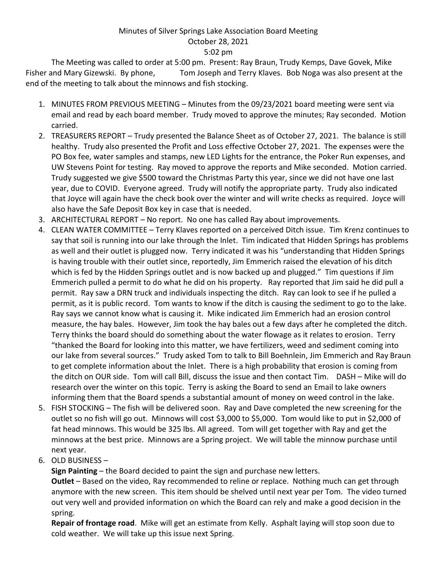## Minutes of Silver Springs Lake Association Board Meeting October 28, 2021 5:02 pm

The Meeting was called to order at 5:00 pm. Present: Ray Braun, Trudy Kemps, Dave Govek, Mike Fisher and Mary Gizewski. By phone, Tom Joseph and Terry Klaves. Bob Noga was also present at the end of the meeting to talk about the minnows and fish stocking.

- 1. MINUTES FROM PREVIOUS MEETING Minutes from the 09/23/2021 board meeting were sent via email and read by each board member. Trudy moved to approve the minutes; Ray seconded. Motion carried.
- 2. TREASURERS REPORT Trudy presented the Balance Sheet as of October 27, 2021. The balance is still healthy. Trudy also presented the Profit and Loss effective October 27, 2021. The expenses were the PO Box fee, water samples and stamps, new LED Lights for the entrance, the Poker Run expenses, and UW Stevens Point for testing. Ray moved to approve the reports and Mike seconded. Motion carried. Trudy suggested we give \$500 toward the Christmas Party this year, since we did not have one last year, due to COVID. Everyone agreed. Trudy will notify the appropriate party. Trudy also indicated that Joyce will again have the check book over the winter and will write checks as required. Joyce will also have the Safe Deposit Box key in case that is needed.
- 3. ARCHITECTURAL REPORT No report. No one has called Ray about improvements.
- 4. CLEAN WATER COMMITTEE Terry Klaves reported on a perceived Ditch issue. Tim Krenz continues to say that soil is running into our lake through the Inlet. Tim indicated that Hidden Springs has problems as well and their outlet is plugged now. Terry indicated it was his "understanding that Hidden Springs is having trouble with their outlet since, reportedly, Jim Emmerich raised the elevation of his ditch which is fed by the Hidden Springs outlet and is now backed up and plugged." Tim questions if Jim Emmerich pulled a permit to do what he did on his property. Ray reported that Jim said he did pull a permit. Ray saw a DRN truck and individuals inspecting the ditch. Ray can look to see if he pulled a permit, as it is public record. Tom wants to know if the ditch is causing the sediment to go to the lake. Ray says we cannot know what is causing it. Mike indicated Jim Emmerich had an erosion control measure, the hay bales. However, Jim took the hay bales out a few days after he completed the ditch. Terry thinks the board should do something about the water flowage as it relates to erosion. Terry "thanked the Board for looking into this matter, we have fertilizers, weed and sediment coming into our lake from several sources." Trudy asked Tom to talk to Bill Boehnlein, Jim Emmerich and Ray Braun to get complete information about the Inlet. There is a high probability that erosion is coming from the ditch on OUR side. Tom will call Bill, discuss the issue and then contact Tim. DASH – Mike will do research over the winter on this topic. Terry is asking the Board to send an Email to lake owners informing them that the Board spends a substantial amount of money on weed control in the lake.
- 5. FISH STOCKING The fish will be delivered soon. Ray and Dave completed the new screening for the outlet so no fish will go out. Minnows will cost \$3,000 to \$5,000. Tom would like to put in \$2,000 of fat head minnows. This would be 325 lbs. All agreed. Tom will get together with Ray and get the minnows at the best price. Minnows are a Spring project. We will table the minnow purchase until next year.
- 6. OLD BUSINESS –

**Sign Painting** – the Board decided to paint the sign and purchase new letters.

**Outlet** – Based on the video, Ray recommended to reline or replace. Nothing much can get through anymore with the new screen. This item should be shelved until next year per Tom. The video turned out very well and provided information on which the Board can rely and make a good decision in the spring.

**Repair of frontage road**. Mike will get an estimate from Kelly. Asphalt laying will stop soon due to cold weather. We will take up this issue next Spring.